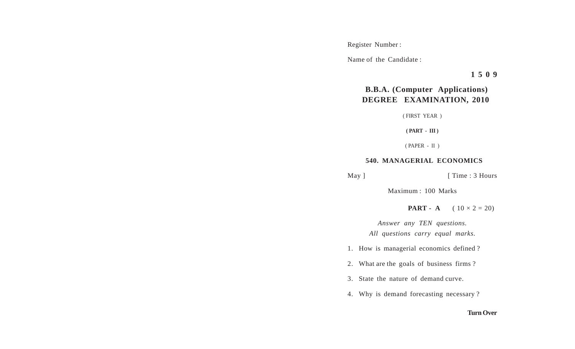Register Number :

Name of the Candidate :

**1 5 0 9**

## **B.B.A. (Computer Applications) DEGREE EXAMINATION, 2010**

( FIRST YEAR )

**( PART - III )**

( PAPER - II )

## **540. MANAGERIAL ECONOMICS**

May ] [ Time : 3 Hours

Maximum : 100 Marks

**PART - A**  $(10 \times 2 = 20)$ 

*Answer any TEN questions. All questions carry equal marks.*

1. How is managerial economics defined ?

2. What are the goals of business firms ?

3. State the nature of demand curve.

4. Why is demand forecasting necessary ?

## **Turn Over**